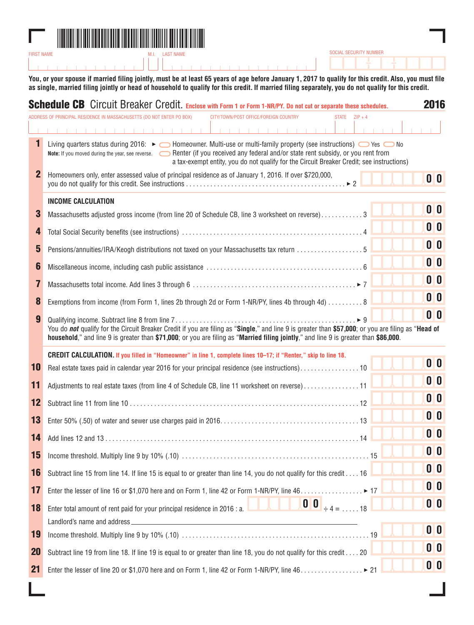

**You, or your spouse if married filing jointly, must be at least 65 years of age before January 1, 2017 to qualify for this credit. Also, you must file as single, married filing jointly or head of household to qualify for this credit. If married filing separately, you do not qualify for this credit.**

SOCIAL SECURITY NUMBER

|             | <b>Schedule CB</b> Circuit Breaker Credit. Enclose with Form 1 or Form 1-NR/PY. Do not cut or separate these schedules.                                                                                                                                                                                                                                               | 2016                      |
|-------------|-----------------------------------------------------------------------------------------------------------------------------------------------------------------------------------------------------------------------------------------------------------------------------------------------------------------------------------------------------------------------|---------------------------|
|             | <b>IDDRESS OF PRINCIPAL RESIDENCE IN MASSACHUSETTS (DO NOT ENTER PO BOX)</b><br>CITY/TOWN/POST OFFICE/FOREIGN COUNTRY<br>STATE $ZIP + 4$                                                                                                                                                                                                                              |                           |
|             | .<br>.                                                                                                                                                                                                                                                                                                                                                                |                           |
| 1           | Living quarters status during 2016: $\blacktriangleright$ $\Box$ Homeowner. Multi-use or multi-family property (see instructions) $\Box$ Yes $\Box$ No<br>Note: If you moved during the year, see reverse. Secondary Federal and/or state rent subsidy, or you rent from<br>a tax-exempt entity, you do not qualify for the Circuit Breaker Credit; see instructions) |                           |
| $\mathbf 2$ | Homeowners only, enter assessed value of principal residence as of January 1, 2016. If over \$720,000,                                                                                                                                                                                                                                                                | 0 <sup>0</sup>            |
|             | <b>INCOME CALCULATION</b>                                                                                                                                                                                                                                                                                                                                             |                           |
| 3           | Massachusetts adjusted gross income (from line 20 of Schedule CB, line 3 worksheet on reverse)3                                                                                                                                                                                                                                                                       | 0 <sup>0</sup>            |
| 4           |                                                                                                                                                                                                                                                                                                                                                                       | 0 <sub>0</sub>            |
| 5           | Pensions/annuities/IRA/Keogh distributions not taxed on your Massachusetts tax return 5                                                                                                                                                                                                                                                                               | 0 <sub>0</sub>            |
| 6           |                                                                                                                                                                                                                                                                                                                                                                       | 0 <sub>0</sub>            |
| 7           |                                                                                                                                                                                                                                                                                                                                                                       | 0 <sub>0</sub>            |
| 8           | Exemptions from income (from Form 1, lines 2b through 2d or Form 1-NR/PY, lines 4b through 4d) 8                                                                                                                                                                                                                                                                      | 0 <sup>0</sup>            |
| 9           | You do not qualify for the Circuit Breaker Credit if you are filing as "Single," and line 9 is greater than \$57,000; or you are filing as "Head of                                                                                                                                                                                                                   | 0 <sup>0</sup>            |
|             | household," and line 9 is greater than \$71,000; or you are filing as "Married filing jointly," and line 9 is greater than \$86,000.                                                                                                                                                                                                                                  |                           |
|             | CREDIT CALCULATION. If you filled in "Homeowner" in line 1, complete lines 10-17; if "Renter," skip to line 18.                                                                                                                                                                                                                                                       | 0 <sup>0</sup>            |
| 10          |                                                                                                                                                                                                                                                                                                                                                                       |                           |
| 11          | Adjustments to real estate taxes (from line 4 of Schedule CB, line 11 worksheet on reverse)11                                                                                                                                                                                                                                                                         | 0 <sup>0</sup>            |
| 12          |                                                                                                                                                                                                                                                                                                                                                                       | 0 <sub>0</sub>            |
| 13          |                                                                                                                                                                                                                                                                                                                                                                       | 0 <sub>0</sub>            |
| 14          |                                                                                                                                                                                                                                                                                                                                                                       | 0 <sup>0</sup>            |
| 15          |                                                                                                                                                                                                                                                                                                                                                                       | 0 <sub>0</sub>            |
| 16          | Subtract line 15 from line 14. If line 15 is equal to or greater than line 14, you do not qualify for this credit 16                                                                                                                                                                                                                                                  | 0 <sub>0</sub>            |
| 17          | Enter the lesser of line 16 or \$1,070 here and on Form 1, line 42 or Form 1-NR/PY, line 46. ▶ 17                                                                                                                                                                                                                                                                     | 0 <sup>0</sup>            |
| 18          | $\begin{bmatrix} 0 & 0 \\ 0 & +4 \\ 0 & -18 \end{bmatrix}$<br>Enter total amount of rent paid for your principal residence in 2016 : a.                                                                                                                                                                                                                               | $\mathbf{0}$ $\mathbf{0}$ |
|             |                                                                                                                                                                                                                                                                                                                                                                       |                           |
| 19          |                                                                                                                                                                                                                                                                                                                                                                       | 0 <sub>0</sub>            |
| <b>20</b>   | Subtract line 19 from line 18. If line 19 is equal to or greater than line 18, you do not qualify for this credit 20                                                                                                                                                                                                                                                  | 0 O                       |
| 21          | Enter the lesser of line 20 or \$1,070 here and on Form 1, line 42 or Form 1-NR/PY, line 46. ▶ 21                                                                                                                                                                                                                                                                     | 0 <sub>0</sub>            |